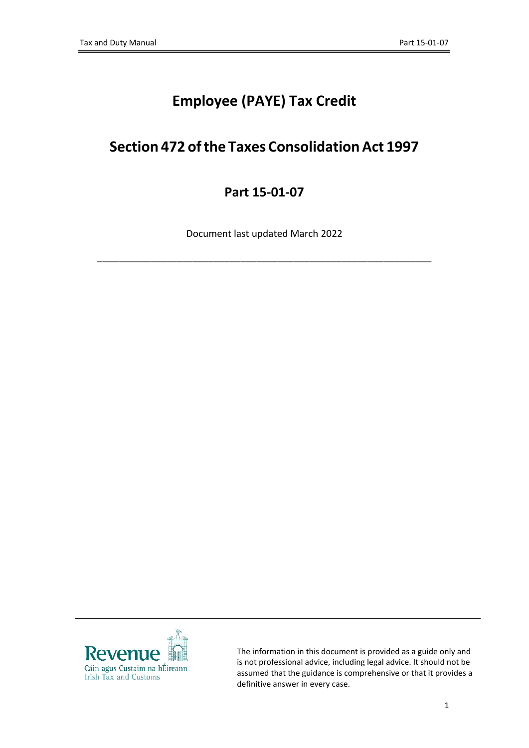# **Employee (PAYE) Tax Credit**

# **Section 472 ofthe Taxes ConsolidationAct 1997**

# **Part 15-01-07**

Document last updated March 2022

\_\_\_\_\_\_\_\_\_\_\_\_\_\_\_\_\_\_\_\_\_\_\_\_\_\_\_\_\_\_\_\_\_\_\_\_\_\_\_\_\_\_\_\_\_\_\_\_\_\_\_\_\_\_\_\_\_\_\_\_\_\_\_



The information in this document is provided as a guide only and is not professional advice, including legal advice. It should not be assumed that the guidance is comprehensive or that it provides a definitive answer in every case.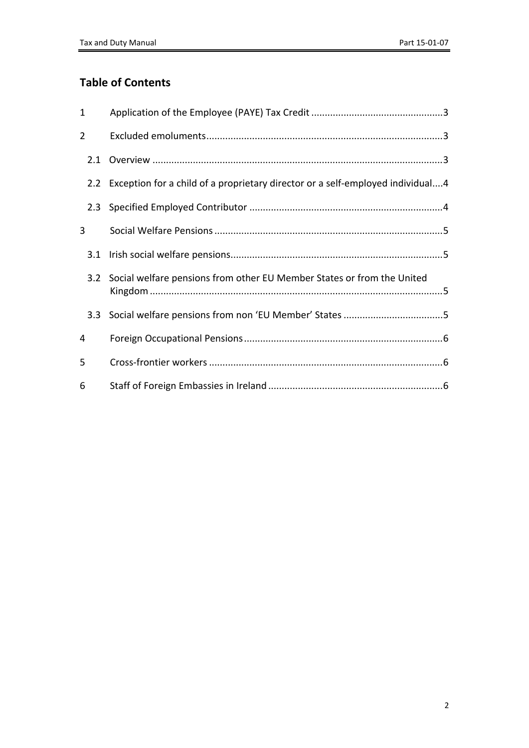## **Table of Contents**

| 1   |                                                                                    |
|-----|------------------------------------------------------------------------------------|
| 2   |                                                                                    |
|     |                                                                                    |
|     | 2.2 Exception for a child of a proprietary director or a self-employed individual4 |
| 2.3 |                                                                                    |
| 3   |                                                                                    |
| 3.1 |                                                                                    |
| 3.2 | Social welfare pensions from other EU Member States or from the United             |
| 3.3 |                                                                                    |
| 4   |                                                                                    |
| 5   |                                                                                    |
| 6   |                                                                                    |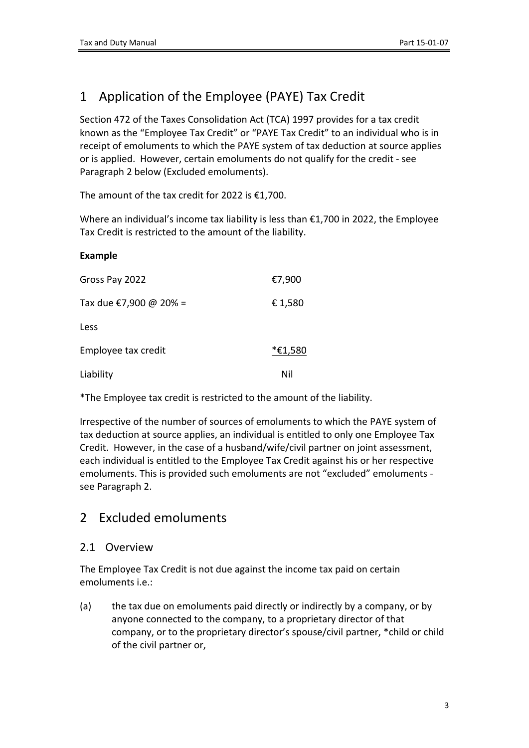# <span id="page-2-0"></span>1 Application of the Employee (PAYE) Tax Credit

Section 472 of the Taxes Consolidation Act (TCA) 1997 provides for a tax credit known as the "Employee Tax Credit" or "PAYE Tax Credit" to an individual who is in receipt of emoluments to which the PAYE system of tax deduction at source applies or is applied. However, certain emoluments do not qualify for the credit - see Paragraph 2 below (Excluded emoluments).

The amount of the tax credit for 2022 is €1,700.

Where an individual's income tax liability is less than €1,700 in 2022, the Employee Tax Credit is restricted to the amount of the liability.

#### **Example**

| Gross Pay 2022         | €7,900  |
|------------------------|---------|
| Tax due €7,900 @ 20% = | € 1,580 |
| Less                   |         |
| Employee tax credit    | *€1,580 |
| Liability              | Nil     |

\*The Employee tax credit is restricted to the amount of the liability.

Irrespective of the number of sources of emoluments to which the PAYE system of tax deduction at source applies, an individual is entitled to only one Employee Tax Credit. However, in the case of a husband/wife/civil partner on joint assessment, each individual is entitled to the Employee Tax Credit against his or her respective emoluments. This is provided such emoluments are not "excluded" emoluments see Paragraph 2.

### <span id="page-2-1"></span>2 Excluded emoluments

#### <span id="page-2-2"></span>2.1 Overview

The Employee Tax Credit is not due against the income tax paid on certain emoluments i.e.:

(a) the tax due on emoluments paid directly or indirectly by a company, or by anyone connected to the company, to a proprietary director of that company, or to the proprietary director's spouse/civil partner, \*child or child of the civil partner or,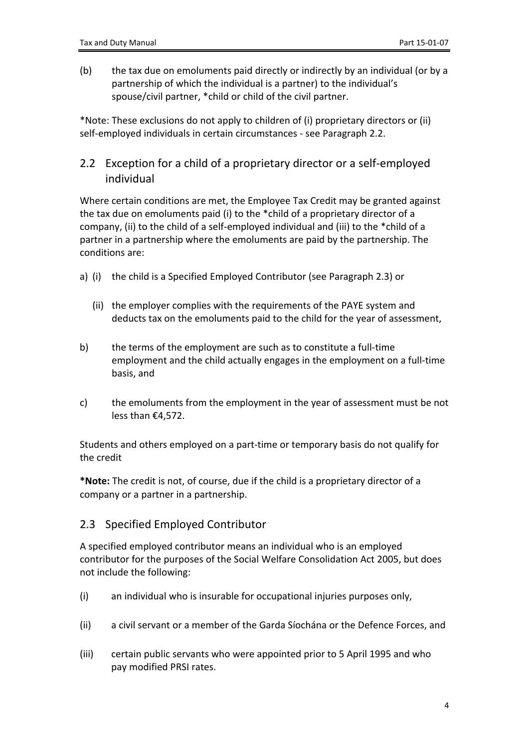(b) the tax due on emoluments paid directly or indirectly by an individual (or by a partnership of which the individual is a partner) to the individual's spouse/civil partner, \*child or child of the civil partner.

\*Note: These exclusions do not apply to children of (i) proprietary directors or (ii) self-employed individuals in certain circumstances - see Paragraph 2.2.

#### <span id="page-3-0"></span>2.2 Exception for a child of a proprietary director or a self-employed individual

Where certain conditions are met, the Employee Tax Credit may be granted against the tax due on emoluments paid (i) to the \*child of a proprietary director of a company, (ii) to the child of a self-employed individual and (iii) to the \*child of a partner in a partnership where the emoluments are paid by the partnership. The conditions are:

- a) (i) the child is a Specified Employed Contributor (see Paragraph 2.3) or
	- (ii) the employer complies with the requirements of the PAYE system and deducts tax on the emoluments paid to the child for the year of assessment,
- b) the terms of the employment are such as to constitute a full-time employment and the child actually engages in the employment on a full-time basis, and
- c) the emoluments from the employment in the year of assessment must be not less than €4,572.

Students and others employed on a part-time or temporary basis do not qualify for the credit

**\*Note:** The credit is not, of course, due if the child is a proprietary director of a company or a partner in a partnership.

#### <span id="page-3-1"></span>2.3 Specified Employed Contributor

A specified employed contributor means an individual who is an employed contributor for the purposes of the Social Welfare Consolidation Act 2005, but does not include the following:

- (i) an individual who is insurable for occupational injuries purposes only,
- (ii) a civil servant or a member of the Garda Síochána or the Defence Forces, and
- (iii) certain public servants who were appointed prior to 5 April 1995 and who pay modified PRSI rates.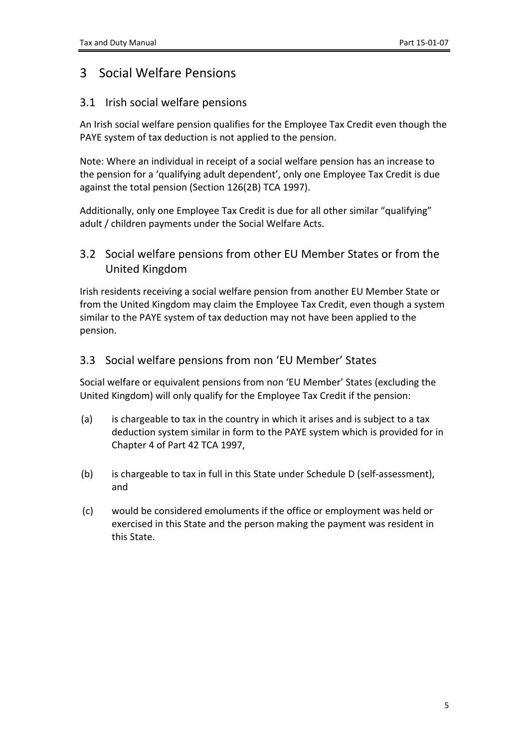### <span id="page-4-0"></span>3 Social Welfare Pensions

#### <span id="page-4-1"></span>3.1 Irish social welfare pensions

An Irish social welfare pension qualifies for the Employee Tax Credit even though the PAYE system of tax deduction is not applied to the pension.

Note: Where an individual in receipt of a social welfare pension has an increase to the pension for a 'qualifying adult dependent', only one Employee Tax Credit is due against the total pension (Section 126(2B) TCA 1997).

Additionally, only one Employee Tax Credit is due for all other similar "qualifying" adult / children payments under the Social Welfare Acts.

### <span id="page-4-2"></span>3.2 Social welfare pensions from other EU Member States or from the United Kingdom

Irish residents receiving a social welfare pension from another EU Member State or from the United Kingdom may claim the Employee Tax Credit, even though a system similar to the PAYE system of tax deduction may not have been applied to the pension.

#### <span id="page-4-3"></span>3.3 Social welfare pensions from non 'EU Member' States

Social welfare or equivalent pensions from non 'EU Member' States (excluding the United Kingdom) will only qualify for the Employee Tax Credit if the pension:

- (a) is chargeable to tax in the country in which it arises and is subject to a tax deduction system similar in form to the PAYE system which is provided for in Chapter 4 of Part 42 TCA 1997,
- (b) is chargeable to tax in full in this State under Schedule D (self-assessment), and
- (c) would be considered emoluments if the office or employment was held or exercised in this State and the person making the payment was resident in this State.